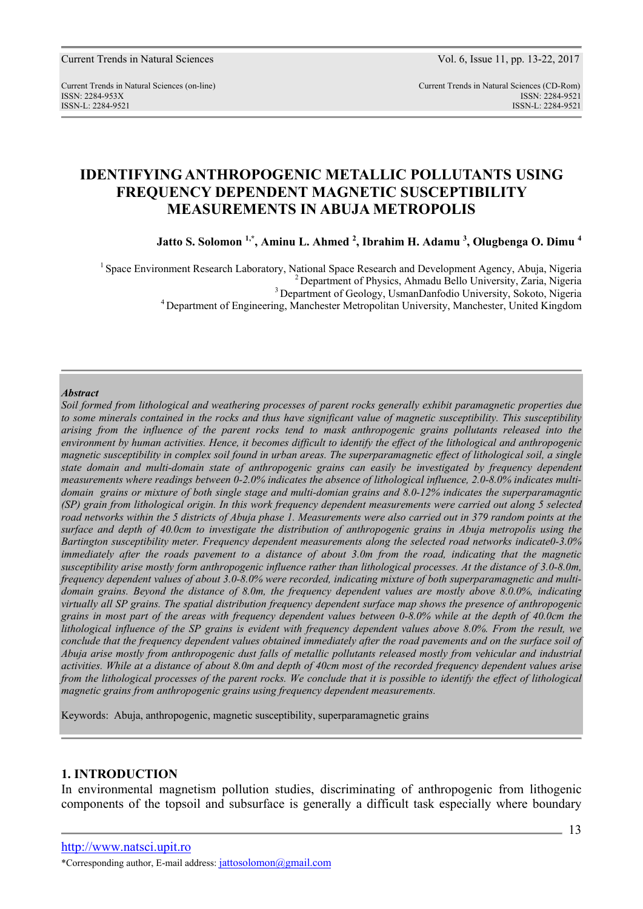Current Trends in Natural Sciences (on-line) Current Trends in Natural Sciences (CD-Rom) ISSN: 2284-953XISSN: 2284-9521 ISSN-L: 2284-9521 ISSN-L: 2284-9521

# **IDENTIFYING ANTHROPOGENIC METALLIC POLLUTANTS USING FREQUENCY DEPENDENT MAGNETIC SUSCEPTIBILITY MEASUREMENTS IN ABUJA METROPOLIS**

**Jatto S. Solomon 1,\*, Aminu L. Ahmed <sup>2</sup> , Ibrahim H. Adamu <sup>3</sup> , Olugbenga O. Dimu <sup>4</sup>**

<sup>1</sup> Space Environment Research Laboratory, National Space Research and Development Agency, Abuja, Nigeria <sup>2</sup> Department of Physics, Ahmadu Bello University, Zaria, Nigeria <sup>3</sup> Department of Geology, UsmanDanfodio University, Sokoto, Nigeria <sup>4</sup> Department of Engineering, Manchester Metropolitan University, Manchester, United Kingdom

#### *Abstract*

*Soil formed from lithological and weathering processes of parent rocks generally exhibit paramagnetic properties due to some minerals contained in the rocks and thus have significant value of magnetic susceptibility. This susceptibility arising from the influence of the parent rocks tend to mask anthropogenic grains pollutants released into the environment by human activities. Hence, it becomes difficult to identify the effect of the lithological and anthropogenic magnetic susceptibility in complex soil found in urban areas. The superparamagnetic effect of lithological soil, a single state domain and multi-domain state of anthropogenic grains can easily be investigated by frequency dependent measurements where readings between 0-2.0% indicates the absence of lithological influence, 2.0-8.0% indicates multidomain grains or mixture of both single stage and multi-domian grains and 8.0-12% indicates the superparamagntic (SP) grain from lithological origin. In this work frequency dependent measurements were carried out along 5 selected road networks within the 5 districts of Abuja phase 1. Measurements were also carried out in 379 random points at the surface and depth of 40.0cm to investigate the distribution of anthropogenic grains in Abuja metropolis using the Bartington susceptibility meter. Frequency dependent measurements along the selected road networks indicate0-3.0% immediately after the roads pavement to a distance of about 3.0m from the road, indicating that the magnetic susceptibility arise mostly form anthropogenic influence rather than lithological processes. At the distance of 3.0-8.0m, frequency dependent values of about 3.0-8.0% were recorded, indicating mixture of both superparamagnetic and multidomain grains. Beyond the distance of 8.0m, the frequency dependent values are mostly above 8.0.0%, indicating virtually all SP grains. The spatial distribution frequency dependent surface map shows the presence of anthropogenic grains in most part of the areas with frequency dependent values between 0-8.0% while at the depth of 40.0cm the lithological influence of the SP grains is evident with frequency dependent values above 8.0%. From the result, we conclude that the frequency dependent values obtained immediately after the road pavements and on the surface soil of Abuja arise mostly from anthropogenic dust falls of metallic pollutants released mostly from vehicular and industrial activities. While at a distance of about 8.0m and depth of 40cm most of the recorded frequency dependent values arise from the lithological processes of the parent rocks. We conclude that it is possible to identify the effect of lithological magnetic grains from anthropogenic grains using frequency dependent measurements.* 

Keywords: Abuja, anthropogenic, magnetic susceptibility, superparamagnetic grains

### **1. INTRODUCTION**

In environmental magnetism pollution studies, discriminating of anthropogenic from lithogenic components of the topsoil and subsurface is generally a difficult task especially where boundary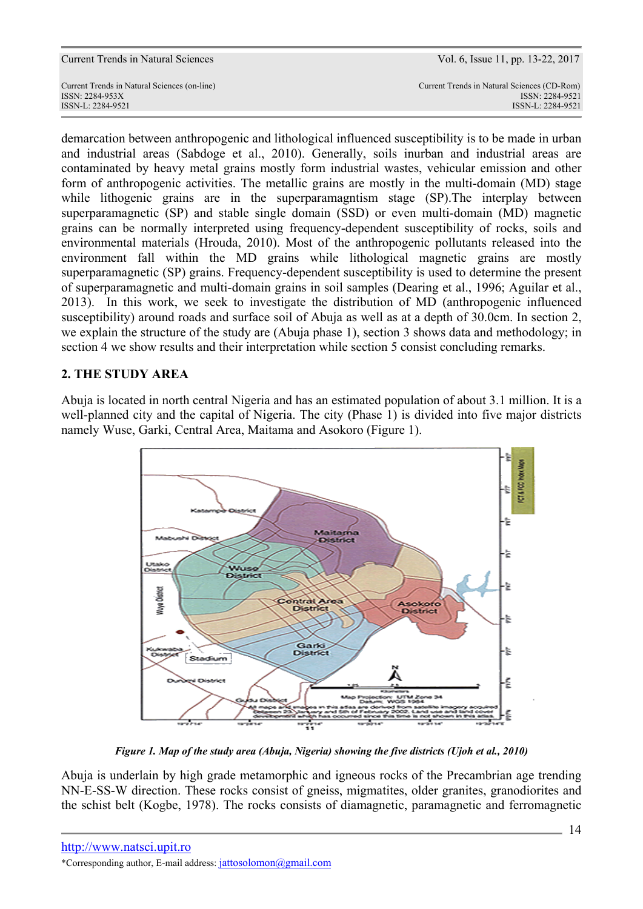| ISSN-L: 2284-9521                            | ISSN-L: 2284-9521                           |
|----------------------------------------------|---------------------------------------------|
| ISSN: 2284-953X                              | ISSN: 2284-9521                             |
| Current Trends in Natural Sciences (on-line) | Current Trends in Natural Sciences (CD-Rom) |
| Current Frends in Ivalural Sciences          | V UI. U, ISSUG 11, UU. 19-22, 2017          |

demarcation between anthropogenic and lithological influenced susceptibility is to be made in urban and industrial areas (Sabdoge et al., 2010). Generally, soils inurban and industrial areas are contaminated by heavy metal grains mostly form industrial wastes, vehicular emission and other form of anthropogenic activities. The metallic grains are mostly in the multi-domain (MD) stage while lithogenic grains are in the superparamagntism stage (SP). The interplay between superparamagnetic (SP) and stable single domain (SSD) or even multi-domain (MD) magnetic grains can be normally interpreted using frequency-dependent susceptibility of rocks, soils and environmental materials (Hrouda, 2010). Most of the anthropogenic pollutants released into the environment fall within the MD grains while lithological magnetic grains are mostly superparamagnetic (SP) grains. Frequency-dependent susceptibility is used to determine the present of superparamagnetic and multi-domain grains in soil samples (Dearing et al., 1996; Aguilar et al., 2013). In this work, we seek to investigate the distribution of MD (anthropogenic influenced susceptibility) around roads and surface soil of Abuja as well as at a depth of 30.0cm. In section 2, we explain the structure of the study are (Abuja phase 1), section 3 shows data and methodology; in section 4 we show results and their interpretation while section 5 consist concluding remarks.

### **2. THE STUDY AREA**

Abuja is located in north central Nigeria and has an estimated population of about 3.1 million. It is a well-planned city and the capital of Nigeria. The city (Phase 1) is divided into five major districts namely Wuse, Garki, Central Area, Maitama and Asokoro (Figure 1).



*Figure 1. Map of the study area (Abuja, Nigeria) showing the five districts (Ujoh et al., 2010)*

Abuja is underlain by high grade metamorphic and igneous rocks of the Precambrian age trending NN-E-SS-W direction. These rocks consist of gneiss, migmatites, older granites, granodiorites and the schist belt (Kogbe, 1978). The rocks consists of diamagnetic, paramagnetic and ferromagnetic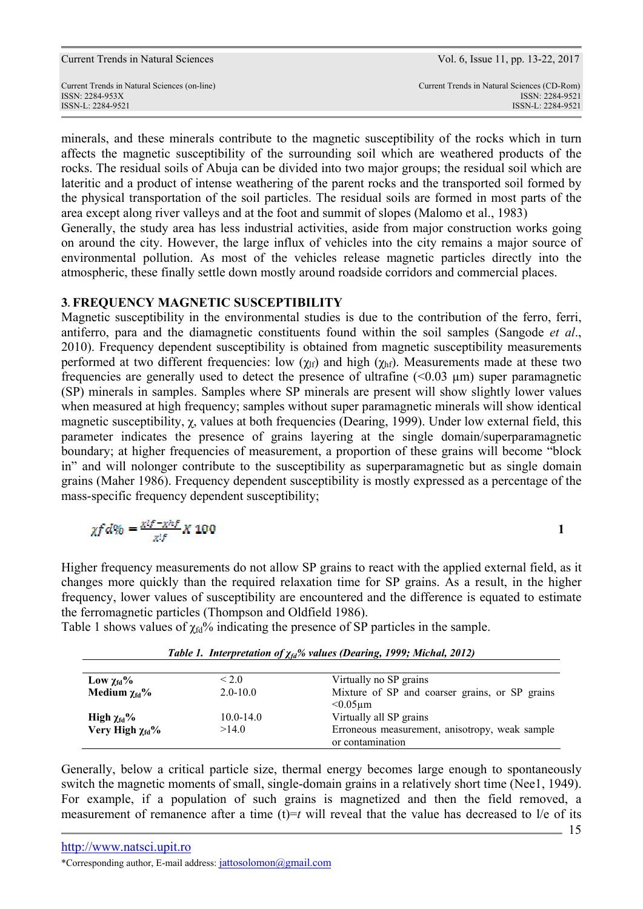ISSN-L: 2284-9521 ISSN-L: 2284-9521

minerals, and these minerals contribute to the magnetic susceptibility of the rocks which in turn affects the magnetic susceptibility of the surrounding soil which are weathered products of the rocks. The residual soils of Abuja can be divided into two major groups; the residual soil which are lateritic and a product of intense weathering of the parent rocks and the transported soil formed by the physical transportation of the soil particles. The residual soils are formed in most parts of the area except along river valleys and at the foot and summit of slopes (Malomo et al., 1983) Generally, the study area has less industrial activities, aside from major construction works going on around the city. However, the large influx of vehicles into the city remains a major source of environmental pollution. As most of the vehicles release magnetic particles directly into the atmospheric, these finally settle down mostly around roadside corridors and commercial places.

### **3. FREQUENCY MAGNETIC SUSCEPTIBILITY**

Magnetic susceptibility in the environmental studies is due to the contribution of the ferro, ferri, antiferro, para and the diamagnetic constituents found within the soil samples (Sangode *et al*., 2010). Frequency dependent susceptibility is obtained from magnetic susceptibility measurements performed at two different frequencies: low  $(\gamma_{\text{lf}})$  and high  $(\gamma_{\text{hf}})$ . Measurements made at these two frequencies are generally used to detect the presence of ultrafine  $(<0.03 \mu m$ ) super paramagnetic (SP) minerals in samples. Samples where SP minerals are present will show slightly lower values when measured at high frequency; samples without super paramagnetic minerals will show identical magnetic susceptibility, χ, values at both frequencies (Dearing, 1999). Under low external field, this parameter indicates the presence of grains layering at the single domain/superparamagnetic boundary; at higher frequencies of measurement, a proportion of these grains will become "block in" and will nolonger contribute to the susceptibility as superparamagnetic but as single domain grains (Maher 1986). Frequency dependent susceptibility is mostly expressed as a percentage of the mass-specific frequency dependent susceptibility;

$$
\chi f d\% = \frac{x\iota f - x\hbar f}{x\iota f} X 100
$$

**1 1** 

Higher frequency measurements do not allow SP grains to react with the applied external field, as it changes more quickly than the required relaxation time for SP grains. As a result, in the higher frequency, lower values of susceptibility are encountered and the difference is equated to estimate the ferromagnetic particles (Thompson and Oldfield 1986).

Table 1 shows values of  $\chi_{fd}$ % indicating the presence of SP particles in the sample.

| Low $\chi_{\text{fd}}$ %       | < 2.0         | Virtually no SP grains                                             |
|--------------------------------|---------------|--------------------------------------------------------------------|
| Medium $\chi_{\text{fd}}$ %    | $2.0 - 10.0$  | Mixture of SP and coarser grains, or SP grains<br>$< 0.05$ um      |
| High $\chi_{\text{fd}}$ %      | $10.0 - 14.0$ | Virtually all SP grains                                            |
| Very High $\chi_{\text{fd}}$ % | >14.0         | Erroneous measurement, anisotropy, weak sample<br>or contamination |

*Table 1. Interpretation of χfd% values (Dearing, 1999; Michal, 2012)* 

Generally, below a critical particle size, thermal energy becomes large enough to spontaneously switch the magnetic moments of small, single-domain grains in a relatively short time (Nee1, 1949). For example, if a population of such grains is magnetized and then the field removed, a measurement of remanence after a time  $(t)=t$  will reveal that the value has decreased to l/e of its

\*Corresponding author, E-mail address: jattosolomon@gmail.com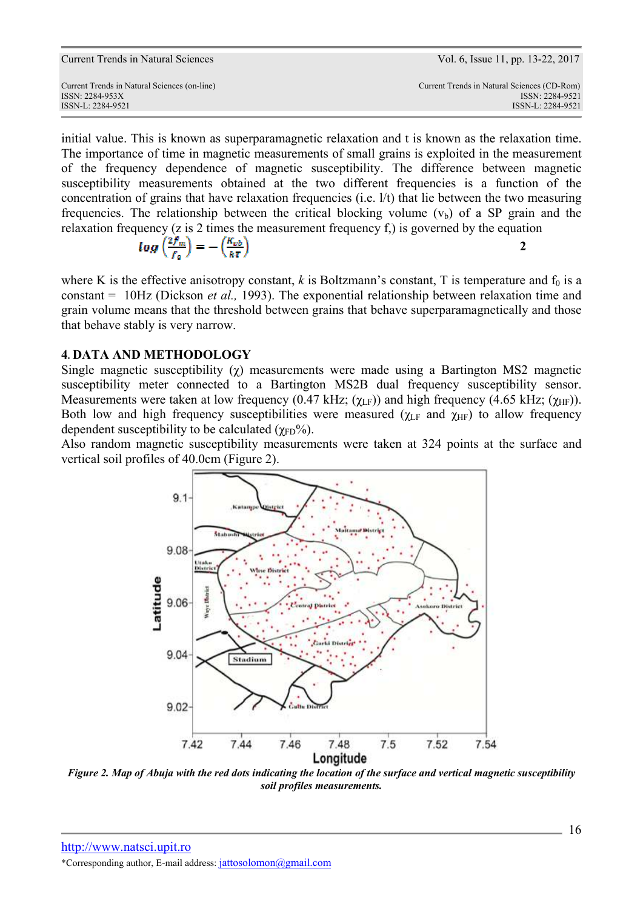ISSN-L: 2284-9521 ISSN-L: 2284-9521

initial value. This is known as superparamagnetic relaxation and t is known as the relaxation time. The importance of time in magnetic measurements of small grains is exploited in the measurement of the frequency dependence of magnetic susceptibility. The difference between magnetic susceptibility measurements obtained at the two different frequencies is a function of the concentration of grains that have relaxation frequencies (i.e. l/t) that lie between the two measuring frequencies. The relationship between the critical blocking volume  $(v<sub>b</sub>)$  of a SP grain and the relaxation frequency (z is 2 times the measurement frequency f,) is governed by the equation

$$
log\left(\frac{2f_m}{f_0}\right) = -\left(\frac{K_{vb}}{kT}\right)
$$

where K is the effective anisotropy constant,  $k$  is Boltzmann's constant, T is temperature and  $f_0$  is a constant = 10Hz (Dickson *et al.,* 1993). The exponential relationship between relaxation time and grain volume means that the threshold between grains that behave superparamagnetically and those that behave stably is very narrow.

## **4. DATA AND METHODOLOGY**

Single magnetic susceptibility  $(y)$  measurements were made using a Bartington MS2 magnetic susceptibility meter connected to a Bartington MS2B dual frequency susceptibility sensor. Measurements were taken at low frequency (0.47 kHz; ( $\chi$ <sub>LF</sub>)) and high frequency (4.65 kHz; ( $\chi$ <sub>HF</sub>)). Both low and high frequency susceptibilities were measured ( $\chi$ <sub>LF</sub> and  $\chi$ <sub>HF</sub>) to allow frequency dependent susceptibility to be calculated  $(\gamma_{FD}\%)$ .

Also random magnetic susceptibility measurements were taken at 324 points at the surface and vertical soil profiles of 40.0cm (Figure 2).



*Figure 2. Map of Abuja with the red dots indicating the location of the surface and vertical magnetic susceptibility soil profiles measurements.*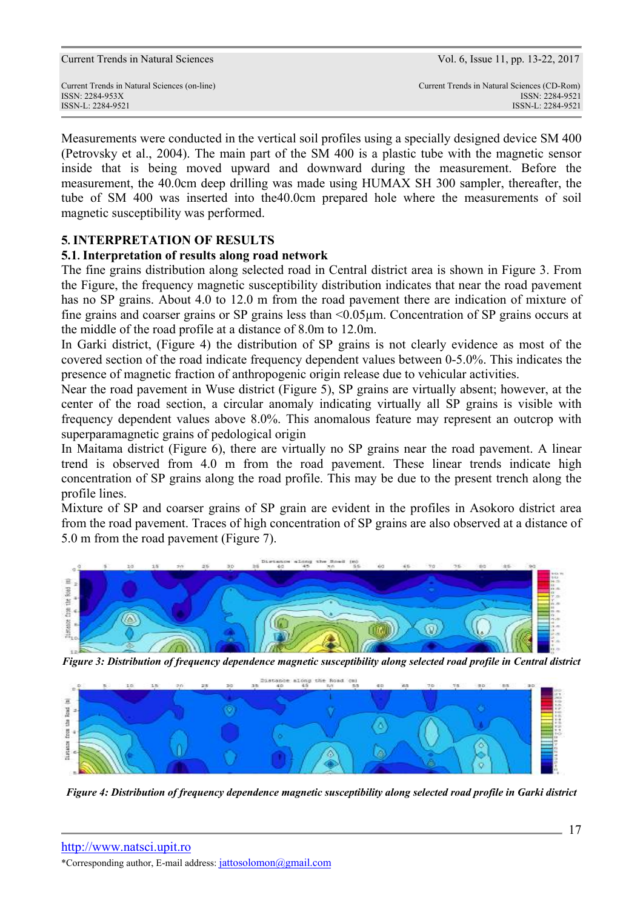Measurements were conducted in the vertical soil profiles using a specially designed device SM 400 (Petrovsky et al., 2004). The main part of the SM 400 is a plastic tube with the magnetic sensor inside that is being moved upward and downward during the measurement. Before the measurement, the 40.0cm deep drilling was made using HUMAX SH 300 sampler, thereafter, the tube of SM 400 was inserted into the40.0cm prepared hole where the measurements of soil magnetic susceptibility was performed.

## **5. INTERPRETATION OF RESULTS**

### **5.1. Interpretation of results along road network**

The fine grains distribution along selected road in Central district area is shown in Figure 3. From the Figure, the frequency magnetic susceptibility distribution indicates that near the road pavement has no SP grains. About 4.0 to 12.0 m from the road pavement there are indication of mixture of fine grains and coarser grains or SP grains less than <0.05µm. Concentration of SP grains occurs at the middle of the road profile at a distance of 8.0m to 12.0m.

In Garki district, (Figure 4) the distribution of SP grains is not clearly evidence as most of the covered section of the road indicate frequency dependent values between 0-5.0%. This indicates the presence of magnetic fraction of anthropogenic origin release due to vehicular activities.

Near the road pavement in Wuse district (Figure 5), SP grains are virtually absent; however, at the center of the road section, a circular anomaly indicating virtually all SP grains is visible with frequency dependent values above 8.0%. This anomalous feature may represent an outcrop with superparamagnetic grains of pedological origin

In Maitama district (Figure 6), there are virtually no SP grains near the road pavement. A linear trend is observed from 4.0 m from the road pavement. These linear trends indicate high concentration of SP grains along the road profile. This may be due to the present trench along the profile lines.

Mixture of SP and coarser grains of SP grain are evident in the profiles in Asokoro district area from the road pavement. Traces of high concentration of SP grains are also observed at a distance of 5.0 m from the road pavement (Figure 7).



*Figure 3: Distribution of frequency dependence magnetic susceptibility along selected road profile in Central district* 



*Figure 4: Distribution of frequency dependence magnetic susceptibility along selected road profile in Garki district*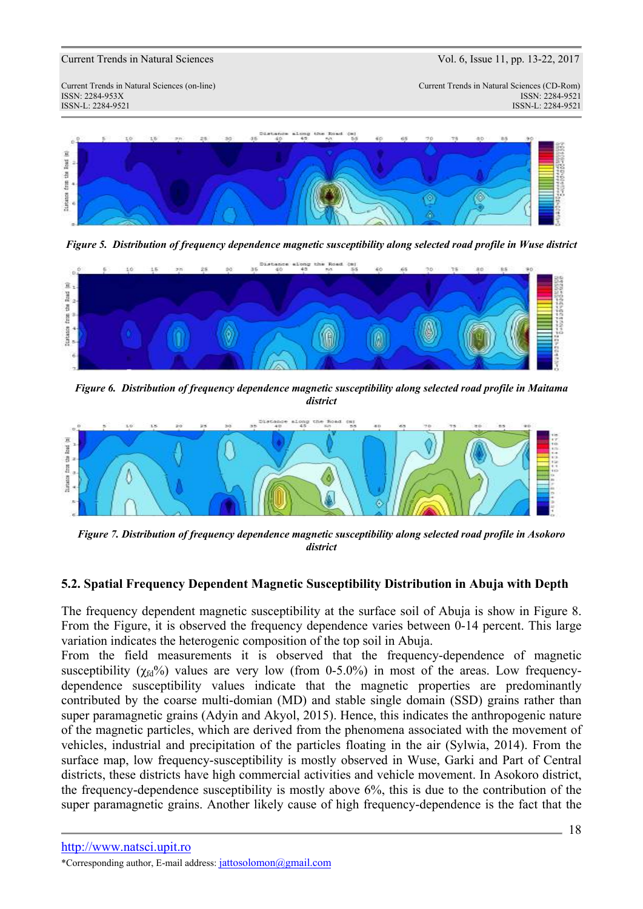Current Trends in Natural Sciences (on-line) Current Trends in Natural Sciences (CD-Rom) ISSN: 2284-953XISSN: 2284-9521 ISSN-L: 2284-9521 ISSN-L: 2284-9521



*Figure 5. Distribution of frequency dependence magnetic susceptibility along selected road profile in Wuse district* 



*Figure 6. Distribution of frequency dependence magnetic susceptibility along selected road profile in Maitama district* 



*Figure 7. Distribution of frequency dependence magnetic susceptibility along selected road profile in Asokoro district* 

## **5.2. Spatial Frequency Dependent Magnetic Susceptibility Distribution in Abuja with Depth**

The frequency dependent magnetic susceptibility at the surface soil of Abuja is show in Figure 8. From the Figure, it is observed the frequency dependence varies between 0-14 percent. This large variation indicates the heterogenic composition of the top soil in Abuja.

From the field measurements it is observed that the frequency-dependence of magnetic susceptibility ( $\gamma_{fd}$ %) values are very low (from 0-5.0%) in most of the areas. Low frequencydependence susceptibility values indicate that the magnetic properties are predominantly contributed by the coarse multi-domian (MD) and stable single domain (SSD) grains rather than super paramagnetic grains (Adyin and Akyol, 2015). Hence, this indicates the anthropogenic nature of the magnetic particles, which are derived from the phenomena associated with the movement of vehicles, industrial and precipitation of the particles floating in the air (Sylwia, 2014). From the surface map, low frequency-susceptibility is mostly observed in Wuse, Garki and Part of Central districts, these districts have high commercial activities and vehicle movement. In Asokoro district, the frequency-dependence susceptibility is mostly above 6%, this is due to the contribution of the super paramagnetic grains. Another likely cause of high frequency-dependence is the fact that the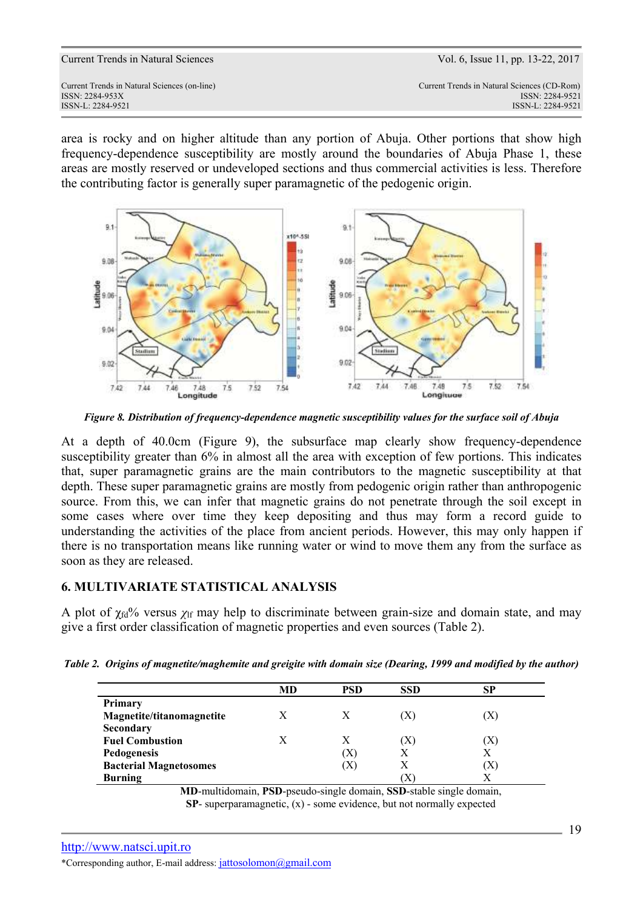area is rocky and on higher altitude than any portion of Abuja. Other portions that show high frequency-dependence susceptibility are mostly around the boundaries of Abuja Phase 1, these areas are mostly reserved or undeveloped sections and thus commercial activities is less. Therefore the contributing factor is generally super paramagnetic of the pedogenic origin.



*Figure 8. Distribution of frequency-dependence magnetic susceptibility values for the surface soil of Abuja* 

At a depth of 40.0cm (Figure 9), the subsurface map clearly show frequency-dependence susceptibility greater than 6% in almost all the area with exception of few portions. This indicates that, super paramagnetic grains are the main contributors to the magnetic susceptibility at that depth. These super paramagnetic grains are mostly from pedogenic origin rather than anthropogenic source. From this, we can infer that magnetic grains do not penetrate through the soil except in some cases where over time they keep depositing and thus may form a record guide to understanding the activities of the place from ancient periods. However, this may only happen if there is no transportation means like running water or wind to move them any from the surface as soon as they are released.

## **6. MULTIVARIATE STATISTICAL ANALYSIS**

A plot of  $\chi_{fd}$ % versus  $\chi_{lf}$  may help to discriminate between grain-size and domain state, and may give a first order classification of magnetic properties and even sources (Table 2).

|  |  |  |  |  |  |  | Table 2. Origins of magnetite/maghemite and greigite with domain size (Dearing, 1999 and modified by the author) |  |
|--|--|--|--|--|--|--|------------------------------------------------------------------------------------------------------------------|--|
|--|--|--|--|--|--|--|------------------------------------------------------------------------------------------------------------------|--|

|                               | MD | <b>PSD</b> | <b>SSD</b> | SP  |
|-------------------------------|----|------------|------------|-----|
| Primary                       |    |            |            |     |
| Magnetite/titanomagnetite     | X  |            |            | (X  |
| Secondary                     |    |            |            |     |
| <b>Fuel Combustion</b>        | X  |            | (X)        | [X] |
| Pedogenesis                   |    | X          | Х          | Х   |
| <b>Bacterial Magnetosomes</b> |    | (X)        | Х          | (X) |
| <b>Burning</b>                |    |            | ΙĀ         | Χ   |

**MD**-multidomain, **PSD**-pseudo-single domain, **SSD**-stable single domain, **SP**- superparamagnetic,  $(x)$  - some evidence, but not normally expected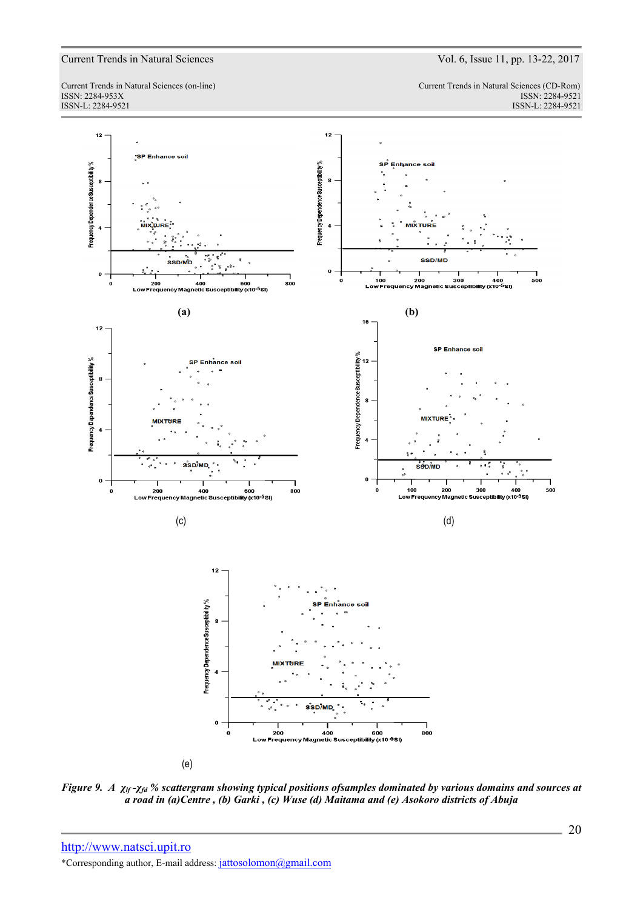ISSN-L: 2284-9521 ISSN-L: 2284-9521

Current Trends in Natural Sciences (on-line) Current Trends in Natural Sciences (CD-Rom) ISSN: 2284-953XISSN: 2284-9521



*Figure 9. A χlf -χfd % scattergram showing typical positions ofsamples dominated by various domains and sources at a road in (a)Centre , (b) Garki , (c) Wuse (d) Maitama and (e) Asokoro districts of Abuja*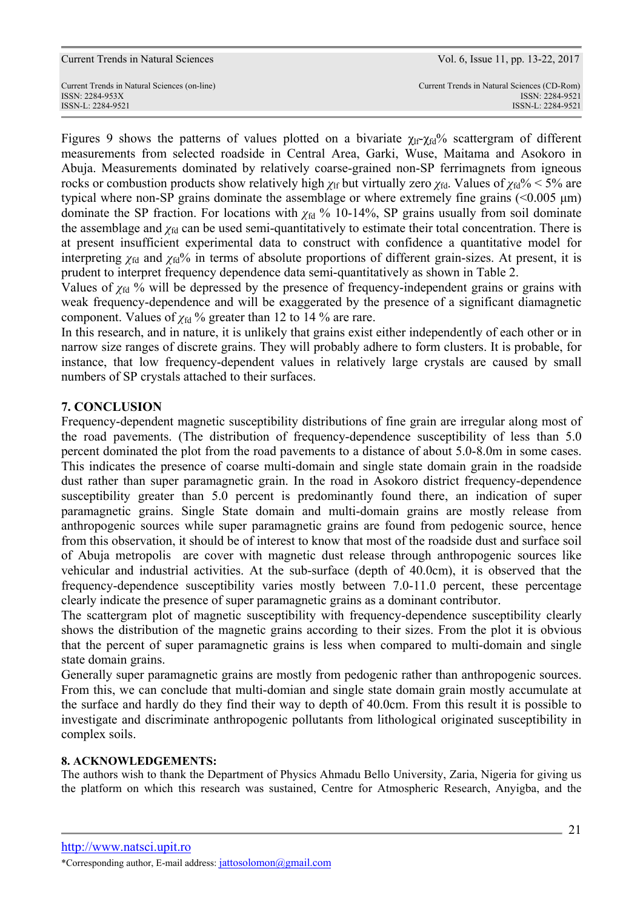Figures 9 shows the patterns of values plotted on a bivariate  $\chi_{\text{lf}}\gamma_{\text{fd}}\%$  scattergram of different measurements from selected roadside in Central Area, Garki, Wuse, Maitama and Asokoro in Abuja. Measurements dominated by relatively coarse-grained non-SP ferrimagnets from igneous rocks or combustion products show relatively high  $\chi$ <sup>If</sup> but virtually zero  $\chi$ <sup> $\chi$ </sup><sub>fd</sub>. Values of  $\chi$ <sup> $\chi$ </sup><sub>6</sub><sup> $\chi$ </sup><sub>6</sub> < 5% are typical where non-SP grains dominate the assemblage or where extremely fine grains  $(< 0.005 \mu m)$ dominate the SP fraction. For locations with  $\chi_{fd}$  % 10-14%, SP grains usually from soil dominate the assemblage and  $\chi_{fd}$  can be used semi-quantitatively to estimate their total concentration. There is at present insufficient experimental data to construct with confidence a quantitative model for interpreting  $\chi_{fd}$  and  $\chi_{fd}$ % in terms of absolute proportions of different grain-sizes. At present, it is prudent to interpret frequency dependence data semi-quantitatively as shown in Table 2.

Values of  $\chi_{fd}$  % will be depressed by the presence of frequency-independent grains or grains with weak frequency-dependence and will be exaggerated by the presence of a significant diamagnetic component. Values of  $\chi_{\text{fd}}$  % greater than 12 to 14 % are rare.

In this research, and in nature, it is unlikely that grains exist either independently of each other or in narrow size ranges of discrete grains. They will probably adhere to form clusters. It is probable, for instance, that low frequency-dependent values in relatively large crystals are caused by small numbers of SP crystals attached to their surfaces.

# **7. CONCLUSION**

Frequency-dependent magnetic susceptibility distributions of fine grain are irregular along most of the road pavements. (The distribution of frequency-dependence susceptibility of less than 5.0 percent dominated the plot from the road pavements to a distance of about 5.0-8.0m in some cases. This indicates the presence of coarse multi-domain and single state domain grain in the roadside dust rather than super paramagnetic grain. In the road in Asokoro district frequency-dependence susceptibility greater than 5.0 percent is predominantly found there, an indication of super paramagnetic grains. Single State domain and multi-domain grains are mostly release from anthropogenic sources while super paramagnetic grains are found from pedogenic source, hence from this observation, it should be of interest to know that most of the roadside dust and surface soil of Abuja metropolis are cover with magnetic dust release through anthropogenic sources like vehicular and industrial activities. At the sub-surface (depth of 40.0cm), it is observed that the frequency-dependence susceptibility varies mostly between 7.0-11.0 percent, these percentage clearly indicate the presence of super paramagnetic grains as a dominant contributor.

The scattergram plot of magnetic susceptibility with frequency-dependence susceptibility clearly shows the distribution of the magnetic grains according to their sizes. From the plot it is obvious that the percent of super paramagnetic grains is less when compared to multi-domain and single state domain grains.

Generally super paramagnetic grains are mostly from pedogenic rather than anthropogenic sources. From this, we can conclude that multi-domian and single state domain grain mostly accumulate at the surface and hardly do they find their way to depth of 40.0cm. From this result it is possible to investigate and discriminate anthropogenic pollutants from lithological originated susceptibility in complex soils.

## **8. ACKNOWLEDGEMENTS:**

The authors wish to thank the Department of Physics Ahmadu Bello University, Zaria, Nigeria for giving us the platform on which this research was sustained, Centre for Atmospheric Research, Anyigba, and the